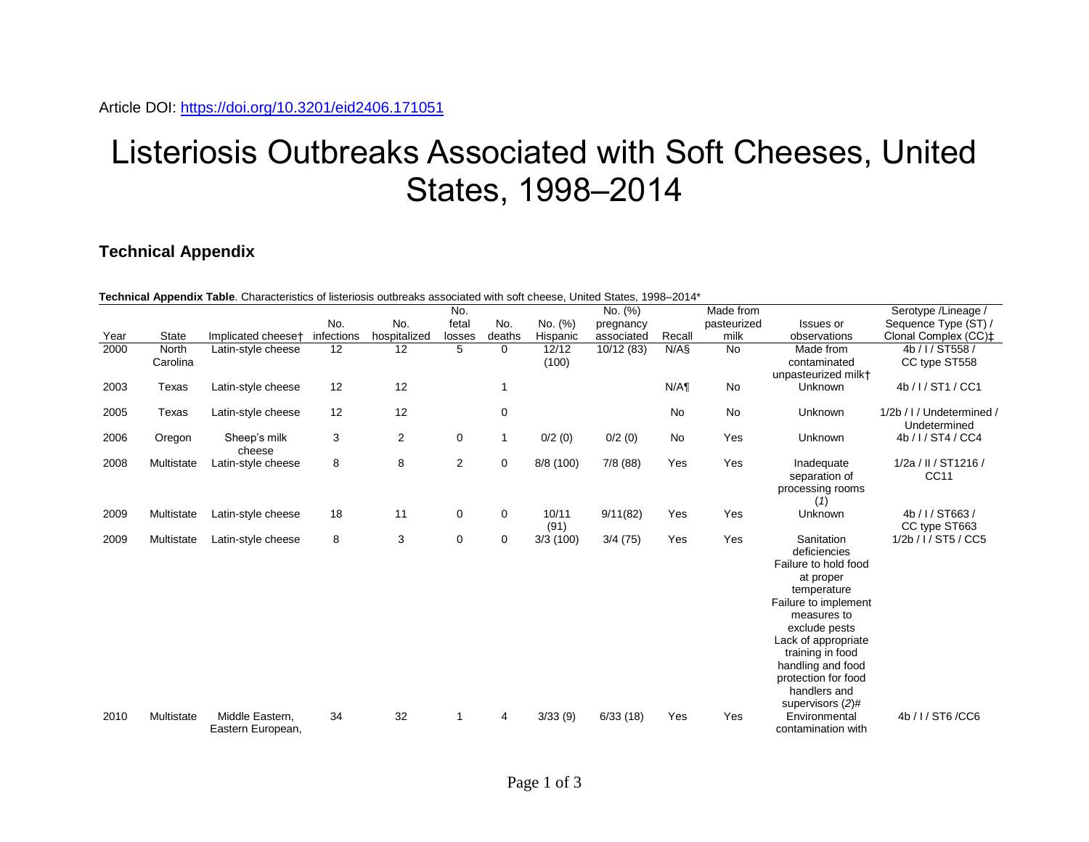## Listeriosis Outbreaks Associated with Soft Cheeses, United States, 1998–2014

## **Technical Appendix**

| Technical Appendix Table. Characteristics of listeriosis outbreaks associated with soft cheese, United States, 1998-2014* |              |                                      |            |                |                |             |               |            |           |             |                                                                                                                                                                                                                                                                   |                                           |
|---------------------------------------------------------------------------------------------------------------------------|--------------|--------------------------------------|------------|----------------|----------------|-------------|---------------|------------|-----------|-------------|-------------------------------------------------------------------------------------------------------------------------------------------------------------------------------------------------------------------------------------------------------------------|-------------------------------------------|
|                                                                                                                           |              |                                      |            |                | No.            |             |               | No. (%)    |           | Made from   |                                                                                                                                                                                                                                                                   | Serotype / Lineage /                      |
|                                                                                                                           |              |                                      | No.        | No.            | fetal          | No.         | No. (%)       | pregnancy  |           | pasteurized | Issues or                                                                                                                                                                                                                                                         | Sequence Type (ST) /                      |
| Year                                                                                                                      | <b>State</b> | Implicated cheeset                   | infections | hospitalized   | losses         | deaths      | Hispanic      | associated | Recall    | milk        | observations                                                                                                                                                                                                                                                      | Clonal Complex (CC)‡                      |
| 2000                                                                                                                      | North        | Latin-style cheese                   | 12         | 12             | 5              | 0           | 12/12         | 10/12 (83) | N/AS      | <b>No</b>   | Made from                                                                                                                                                                                                                                                         | 4b / I / ST558 /                          |
|                                                                                                                           | Carolina     |                                      |            |                |                |             | (100)         |            |           |             | contaminated<br>unpasteurized milk+                                                                                                                                                                                                                               | CC type ST558                             |
| 2003                                                                                                                      | Texas        | Latin-style cheese                   | 12         | 12             |                |             |               |            | N/A       | No          | Unknown                                                                                                                                                                                                                                                           | 4b / I / ST1 / CC1                        |
| 2005                                                                                                                      | Texas        | Latin-style cheese                   | 12         | 12             |                | $\mathbf 0$ |               |            | <b>No</b> | <b>No</b>   | Unknown                                                                                                                                                                                                                                                           | 1/2b / I / Undetermined /<br>Undetermined |
| 2006                                                                                                                      | Oregon       | Sheep's milk<br>cheese               | 3          | $\overline{2}$ | 0              | 1           | 0/2(0)        | 0/2(0)     | No        | Yes         | Unknown                                                                                                                                                                                                                                                           | 4b / I / ST4 / CC4                        |
| 2008                                                                                                                      | Multistate   | Latin-style cheese                   | 8          | 8              | $\overline{2}$ | $\mathbf 0$ | 8/8 (100)     | 7/8(88)    | Yes       | Yes         | Inadequate<br>separation of<br>processing rooms<br>(1)                                                                                                                                                                                                            | 1/2a / II / ST1216 /<br>CC11              |
| 2009                                                                                                                      | Multistate   | Latin-style cheese                   | 18         | 11             | 0              | $\mathbf 0$ | 10/11<br>(91) | 9/11(82)   | Yes       | Yes         | Unknown                                                                                                                                                                                                                                                           | 4b / I / ST663 /<br>CC type ST663         |
| 2009                                                                                                                      | Multistate   | Latin-style cheese                   | 8          | 3              | $\pmb{0}$      | $\mathbf 0$ | 3/3(100)      | 3/4(75)    | Yes       | Yes         | Sanitation<br>deficiencies<br>Failure to hold food<br>at proper<br>temperature<br>Failure to implement<br>measures to<br>exclude pests<br>Lack of appropriate<br>training in food<br>handling and food<br>protection for food<br>handlers and<br>supervisors (2)# | 1/2b / I / ST5 / CC5                      |
| 2010                                                                                                                      | Multistate   | Middle Eastern.<br>Eastern European, | 34         | 32             |                | 4           | 3/33(9)       | 6/33(18)   | Yes       | Yes         | Environmental<br>contamination with                                                                                                                                                                                                                               | 4b / I / ST6 / CC6                        |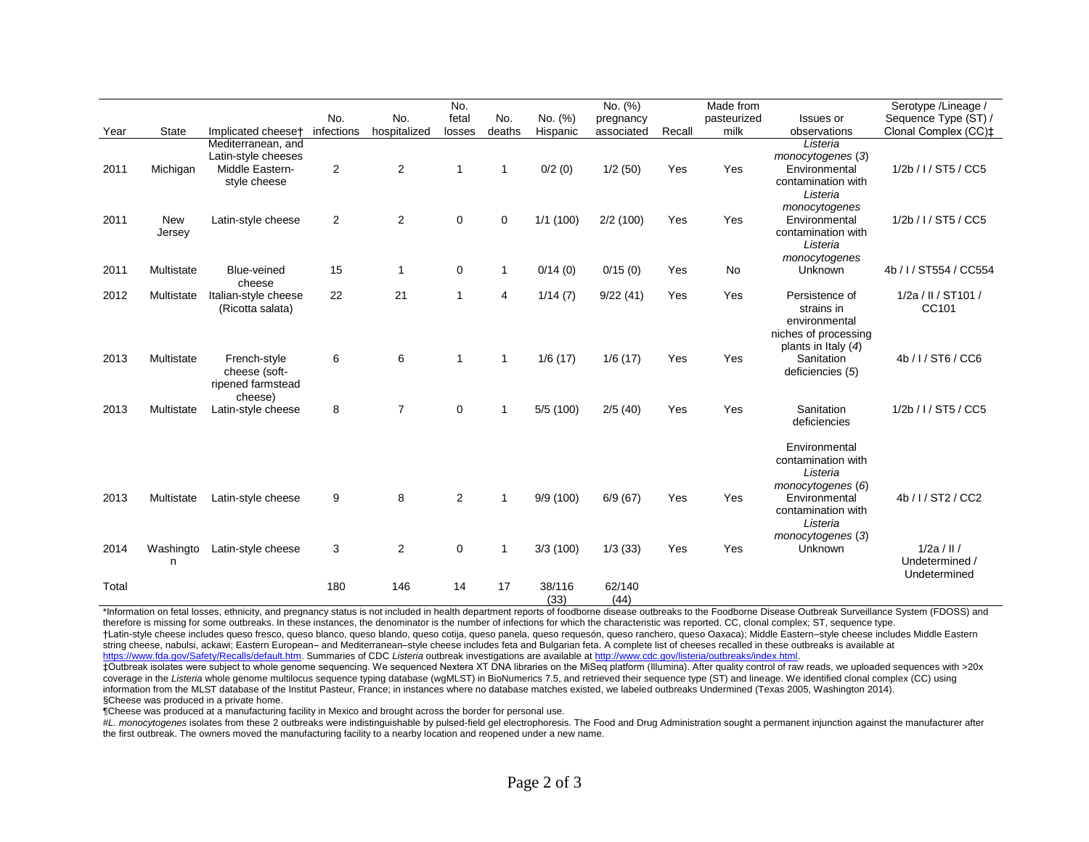|       |                      |                                                                              | No.            | No.            | No.<br>fetal   | No.          | No. (%)        | No. (%)<br>pregnancy |        | Made from<br>pasteurized | Issues or                                                                                      | Serotype /Lineage /<br>Sequence Type (ST) /     |
|-------|----------------------|------------------------------------------------------------------------------|----------------|----------------|----------------|--------------|----------------|----------------------|--------|--------------------------|------------------------------------------------------------------------------------------------|-------------------------------------------------|
| Year  | <b>State</b>         | Implicated cheeset                                                           | infections     | hospitalized   | losses         | deaths       | Hispanic       | associated           | Recall | milk                     | observations                                                                                   | Clonal Complex (CC) <sup>+</sup>                |
| 2011  | Michigan             | Mediterranean, and<br>Latin-style cheeses<br>Middle Eastern-<br>style cheese | $\overline{c}$ | 2              | 1              | $\mathbf{1}$ | 0/2(0)         | 1/2(50)              | Yes    | Yes                      | Listeria<br>monocytogenes (3)<br>Environmental<br>contamination with<br>Listeria               | 1/2b / I / ST5 / CC5                            |
| 2011  | <b>New</b><br>Jersey | Latin-style cheese                                                           | $\overline{2}$ | $\mathbf{2}$   | 0              | $\mathbf 0$  | 1/1(100)       | 2/2(100)             | Yes    | Yes                      | monocytogenes<br>Environmental<br>contamination with<br>Listeria                               | 1/2b / I / ST5 / CC5                            |
| 2011  | Multistate           | Blue-veined<br>cheese                                                        | 15             | $\mathbf{1}$   | 0              | $\mathbf{1}$ | 0/14(0)        | 0/15(0)              | Yes    | No                       | monocytogenes<br>Unknown                                                                       | 4b / I / ST554 / CC554                          |
| 2012  | Multistate           | Italian-style cheese<br>(Ricotta salata)                                     | 22             | 21             | 1              | 4            | 1/14(7)        | 9/22(41)             | Yes    | Yes                      | Persistence of<br>strains in<br>environmental<br>niches of processing<br>plants in Italy $(4)$ | 1/2a / II / ST101 /<br>CC101                    |
| 2013  | Multistate           | French-style<br>cheese (soft-<br>ripened farmstead<br>cheese)                | 6              | 6              | 1              | $\mathbf{1}$ | 1/6(17)        | 1/6(17)              | Yes    | Yes                      | Sanitation<br>deficiencies (5)                                                                 | 4b / I / ST6 / CC6                              |
| 2013  | Multistate           | Latin-style cheese                                                           | 8              | $\overline{7}$ | 0              | $\mathbf{1}$ | 5/5(100)       | 2/5(40)              | Yes    | Yes                      | Sanitation<br>deficiencies                                                                     | 1/2b / I / ST5 / CC5                            |
|       |                      |                                                                              |                |                |                |              |                |                      |        |                          | Environmental<br>contamination with<br>Listeria<br>monocytogenes (6)                           |                                                 |
| 2013  | Multistate           | Latin-style cheese                                                           | 9              | 8              | $\overline{2}$ | 1            | 9/9(100)       | 6/9(67)              | Yes    | Yes                      | Environmental<br>contamination with<br>Listeria<br>monocytogenes (3)                           | 4b / I / ST2 / CC2                              |
| 2014  | Washingto<br>n       | Latin-style cheese                                                           | 3              | 2              | 0              | $\mathbf{1}$ | 3/3(100)       | 1/3(33)              | Yes    | Yes                      | Unknown                                                                                        | $1/2a$ / II /<br>Undetermined /<br>Undetermined |
| Total |                      |                                                                              | 180            | 146            | 14             | 17           | 38/116<br>(33) | 62/140<br>(44)       |        |                          |                                                                                                |                                                 |

\*Information on fetal losses, ethnicity, and pregnancy status is not included in health department reports of foodborne disease outbreaks to the Foodborne Disease Outbreak Surveillance System (FDOSS) and therefore is missing for some outbreaks. In these instances, the denominator is the number of infections for which the characteristic was reported. CC, clonal complex; ST, sequence type. †Latin-style cheese includes queso fresco, queso blanco, queso blando, queso cotija, queso panela, queso requesón, queso ranchero, queso Oaxaca); Middle Eastern–style cheese includes Middle Eastern string cheese, nabulsi, ackawi; Eastern European– and Mediterranean–style cheese includes feta and Bulgarian feta. A complete list of cheeses recalled in these outbreaks is available at [https://www.fda.gov/Safety/Recalls/default.htm.](https://www.fda.gov/Safety/Recalls/default.htm) Summaries of CDC *Listeria* outbreak investigations are available at [http://www.cdc.gov/listeria/outbreaks/index.html.](http://www.cdc.gov/listeria/outbreaks/index.html)

‡Outbreak isolates were subject to whole genome sequencing. We sequenced Nextera XT DNA libraries on the MiSeq platform (Illumina). After quality control of raw reads, we uploaded sequences with >20x coverage in the Listeria whole genome multilocus sequence typing database (wgMLST) in BioNumerics 7.5, and retrieved their sequence type (ST) and lineage. We identified clonal complex (CC) using information from the MLST database of the Institut Pasteur, France; in instances where no database matches existed, we labeled outbreaks Undermined (Texas 2005, Washington 2014). §Cheese was produced in a private home.

¶Cheese was produced at a manufacturing facility in Mexico and brought across the border for personal use.

#L. monocytogenes isolates from these 2 outbreaks were indistinguishable by pulsed-field gel electrophoresis. The Food and Drug Administration sought a permanent injunction against the manufacturer after the first outbreak. The owners moved the manufacturing facility to a nearby location and reopened under a new name.